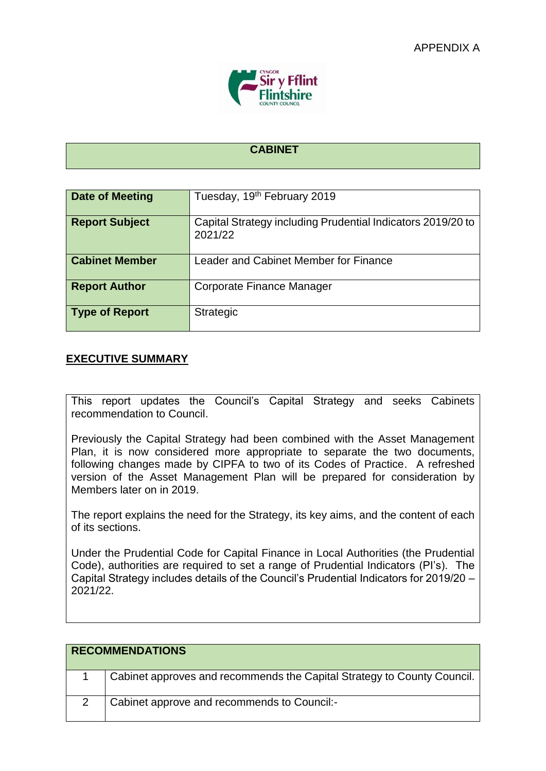

## **CABINET**

| <b>Date of Meeting</b> | Tuesday, 19 <sup>th</sup> February 2019                                |
|------------------------|------------------------------------------------------------------------|
| <b>Report Subject</b>  | Capital Strategy including Prudential Indicators 2019/20 to<br>2021/22 |
| <b>Cabinet Member</b>  | Leader and Cabinet Member for Finance                                  |
| <b>Report Author</b>   | Corporate Finance Manager                                              |
| Type of Report         | <b>Strategic</b>                                                       |

## **EXECUTIVE SUMMARY**

This report updates the Council's Capital Strategy and seeks Cabinets recommendation to Council.

Previously the Capital Strategy had been combined with the Asset Management Plan, it is now considered more appropriate to separate the two documents, following changes made by CIPFA to two of its Codes of Practice. A refreshed version of the Asset Management Plan will be prepared for consideration by Members later on in 2019.

The report explains the need for the Strategy, its key aims, and the content of each of its sections.

Under the Prudential Code for Capital Finance in Local Authorities (the Prudential Code), authorities are required to set a range of Prudential Indicators (PI's). The Capital Strategy includes details of the Council's Prudential Indicators for 2019/20 – 2021/22.

| <b>RECOMMENDATIONS</b> |                                                                         |
|------------------------|-------------------------------------------------------------------------|
|                        | Cabinet approves and recommends the Capital Strategy to County Council. |
|                        | Cabinet approve and recommends to Council:-                             |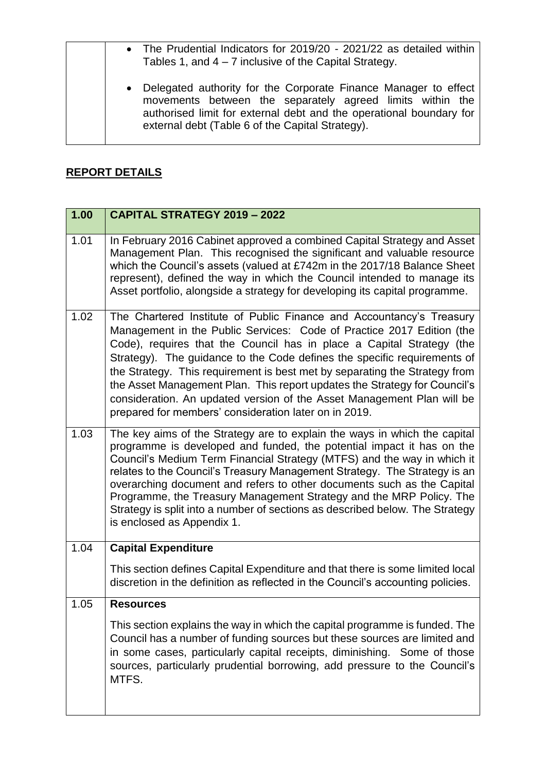| • The Prudential Indicators for 2019/20 - 2021/22 as detailed within<br>Tables 1, and $4 - 7$ inclusive of the Capital Strategy.                                                                                                                          |
|-----------------------------------------------------------------------------------------------------------------------------------------------------------------------------------------------------------------------------------------------------------|
| • Delegated authority for the Corporate Finance Manager to effect<br>movements between the separately agreed limits within the<br>authorised limit for external debt and the operational boundary for<br>external debt (Table 6 of the Capital Strategy). |

## **REPORT DETAILS**

| 1.00 | <b>CAPITAL STRATEGY 2019 - 2022</b>                                                                                                                                                                                                                                                                                                                                                                                                                                                                                                                                                              |
|------|--------------------------------------------------------------------------------------------------------------------------------------------------------------------------------------------------------------------------------------------------------------------------------------------------------------------------------------------------------------------------------------------------------------------------------------------------------------------------------------------------------------------------------------------------------------------------------------------------|
| 1.01 | In February 2016 Cabinet approved a combined Capital Strategy and Asset<br>Management Plan. This recognised the significant and valuable resource<br>which the Council's assets (valued at £742m in the 2017/18 Balance Sheet<br>represent), defined the way in which the Council intended to manage its<br>Asset portfolio, alongside a strategy for developing its capital programme.                                                                                                                                                                                                          |
| 1.02 | The Chartered Institute of Public Finance and Accountancy's Treasury<br>Management in the Public Services: Code of Practice 2017 Edition (the<br>Code), requires that the Council has in place a Capital Strategy (the<br>Strategy). The guidance to the Code defines the specific requirements of<br>the Strategy. This requirement is best met by separating the Strategy from<br>the Asset Management Plan. This report updates the Strategy for Council's<br>consideration. An updated version of the Asset Management Plan will be<br>prepared for members' consideration later on in 2019. |
| 1.03 | The key aims of the Strategy are to explain the ways in which the capital<br>programme is developed and funded, the potential impact it has on the<br>Council's Medium Term Financial Strategy (MTFS) and the way in which it<br>relates to the Council's Treasury Management Strategy. The Strategy is an<br>overarching document and refers to other documents such as the Capital<br>Programme, the Treasury Management Strategy and the MRP Policy. The<br>Strategy is split into a number of sections as described below. The Strategy<br>is enclosed as Appendix 1.                        |
| 1.04 | <b>Capital Expenditure</b>                                                                                                                                                                                                                                                                                                                                                                                                                                                                                                                                                                       |
|      | This section defines Capital Expenditure and that there is some limited local<br>discretion in the definition as reflected in the Council's accounting policies.                                                                                                                                                                                                                                                                                                                                                                                                                                 |
| 1.05 | <b>Resources</b>                                                                                                                                                                                                                                                                                                                                                                                                                                                                                                                                                                                 |
|      | This section explains the way in which the capital programme is funded. The<br>Council has a number of funding sources but these sources are limited and<br>in some cases, particularly capital receipts, diminishing. Some of those<br>sources, particularly prudential borrowing, add pressure to the Council's<br>MTFS.                                                                                                                                                                                                                                                                       |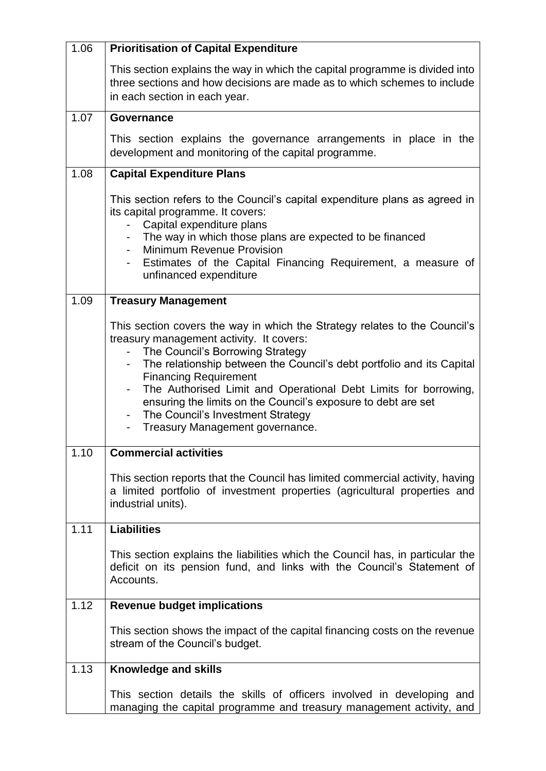| 1.06 | <b>Prioritisation of Capital Expenditure</b>                                                                                                                                                                                                                                                                                                                                                                                                                                                                                                                               |
|------|----------------------------------------------------------------------------------------------------------------------------------------------------------------------------------------------------------------------------------------------------------------------------------------------------------------------------------------------------------------------------------------------------------------------------------------------------------------------------------------------------------------------------------------------------------------------------|
|      | This section explains the way in which the capital programme is divided into<br>three sections and how decisions are made as to which schemes to include<br>in each section in each year.                                                                                                                                                                                                                                                                                                                                                                                  |
| 1.07 | Governance                                                                                                                                                                                                                                                                                                                                                                                                                                                                                                                                                                 |
|      | This section explains the governance arrangements in place in the<br>development and monitoring of the capital programme.                                                                                                                                                                                                                                                                                                                                                                                                                                                  |
| 1.08 | <b>Capital Expenditure Plans</b>                                                                                                                                                                                                                                                                                                                                                                                                                                                                                                                                           |
|      | This section refers to the Council's capital expenditure plans as agreed in<br>its capital programme. It covers:<br>Capital expenditure plans<br>The way in which those plans are expected to be financed<br><b>Minimum Revenue Provision</b><br>Estimates of the Capital Financing Requirement, a measure of<br>unfinanced expenditure                                                                                                                                                                                                                                    |
| 1.09 | <b>Treasury Management</b>                                                                                                                                                                                                                                                                                                                                                                                                                                                                                                                                                 |
|      | This section covers the way in which the Strategy relates to the Council's<br>treasury management activity. It covers:<br>The Council's Borrowing Strategy<br>$\frac{1}{2}$<br>The relationship between the Council's debt portfolio and its Capital<br><b>Financing Requirement</b><br>The Authorised Limit and Operational Debt Limits for borrowing,<br>$\overline{\phantom{a}}$<br>ensuring the limits on the Council's exposure to debt are set<br>The Council's Investment Strategy<br>$\blacksquare$<br>Treasury Management governance.<br>$\overline{\phantom{a}}$ |
| 1.10 | <b>Commercial activities</b>                                                                                                                                                                                                                                                                                                                                                                                                                                                                                                                                               |
|      | This section reports that the Council has limited commercial activity, having<br>a limited portfolio of investment properties (agricultural properties and<br>industrial units).                                                                                                                                                                                                                                                                                                                                                                                           |
| 1.11 | <b>Liabilities</b>                                                                                                                                                                                                                                                                                                                                                                                                                                                                                                                                                         |
|      | This section explains the liabilities which the Council has, in particular the<br>deficit on its pension fund, and links with the Council's Statement of<br>Accounts.                                                                                                                                                                                                                                                                                                                                                                                                      |
| 1.12 | <b>Revenue budget implications</b>                                                                                                                                                                                                                                                                                                                                                                                                                                                                                                                                         |
|      | This section shows the impact of the capital financing costs on the revenue<br>stream of the Council's budget.                                                                                                                                                                                                                                                                                                                                                                                                                                                             |
| 1.13 | Knowledge and skills                                                                                                                                                                                                                                                                                                                                                                                                                                                                                                                                                       |
|      | This section details the skills of officers involved in developing and<br>managing the capital programme and treasury management activity, and                                                                                                                                                                                                                                                                                                                                                                                                                             |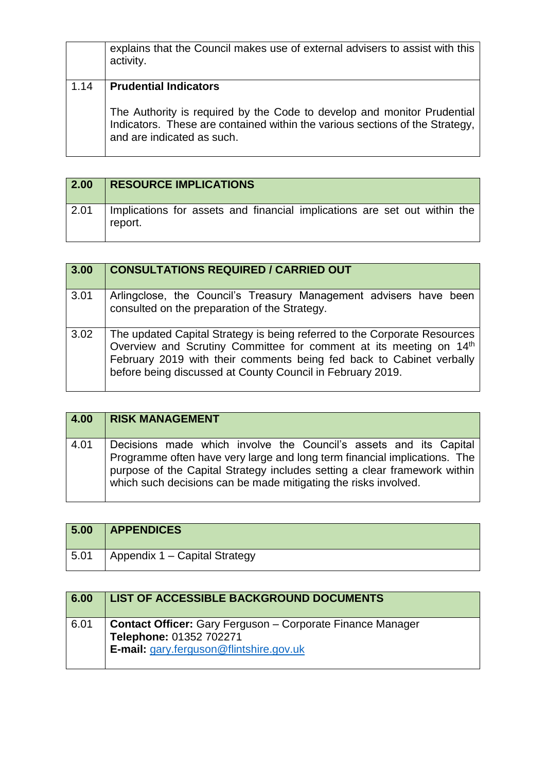|      | explains that the Council makes use of external advisers to assist with this<br>activity.                                                                                                                             |
|------|-----------------------------------------------------------------------------------------------------------------------------------------------------------------------------------------------------------------------|
| 1.14 | <b>Prudential Indicators</b><br>The Authority is required by the Code to develop and monitor Prudential<br>Indicators. These are contained within the various sections of the Strategy,<br>and are indicated as such. |

| 2.00 | <b>RESOURCE IMPLICATIONS</b>                                                         |
|------|--------------------------------------------------------------------------------------|
| 2.01 | Implications for assets and financial implications are set out within the<br>report. |

| 3.00 | <b>CONSULTATIONS REQUIRED / CARRIED OUT</b>                                                                                                                                                                                                                                                       |
|------|---------------------------------------------------------------------------------------------------------------------------------------------------------------------------------------------------------------------------------------------------------------------------------------------------|
| 3.01 | Arlingclose, the Council's Treasury Management advisers have been<br>consulted on the preparation of the Strategy.                                                                                                                                                                                |
| 3.02 | The updated Capital Strategy is being referred to the Corporate Resources<br>Overview and Scrutiny Committee for comment at its meeting on 14 <sup>th</sup><br>February 2019 with their comments being fed back to Cabinet verbally<br>before being discussed at County Council in February 2019. |

| $\overline{4.00}$ | <b>RISK MANAGEMENT</b>                                                                                                                                                                                                                                                                         |
|-------------------|------------------------------------------------------------------------------------------------------------------------------------------------------------------------------------------------------------------------------------------------------------------------------------------------|
| 4.01              | Decisions made which involve the Council's assets and its Capital<br>Programme often have very large and long term financial implications. The<br>purpose of the Capital Strategy includes setting a clear framework within<br>which such decisions can be made mitigating the risks involved. |

| 5.00 | <b>APPENDICES</b>             |
|------|-------------------------------|
| 5.01 | Appendix 1 – Capital Strategy |

| 6.00 | <b>LIST OF ACCESSIBLE BACKGROUND DOCUMENTS</b>                                                                                                 |
|------|------------------------------------------------------------------------------------------------------------------------------------------------|
| 6.01 | <b>Contact Officer:</b> Gary Ferguson - Corporate Finance Manager<br>Telephone: 01352 702271<br><b>E-mail: gary.ferguson@flintshire.gov.uk</b> |